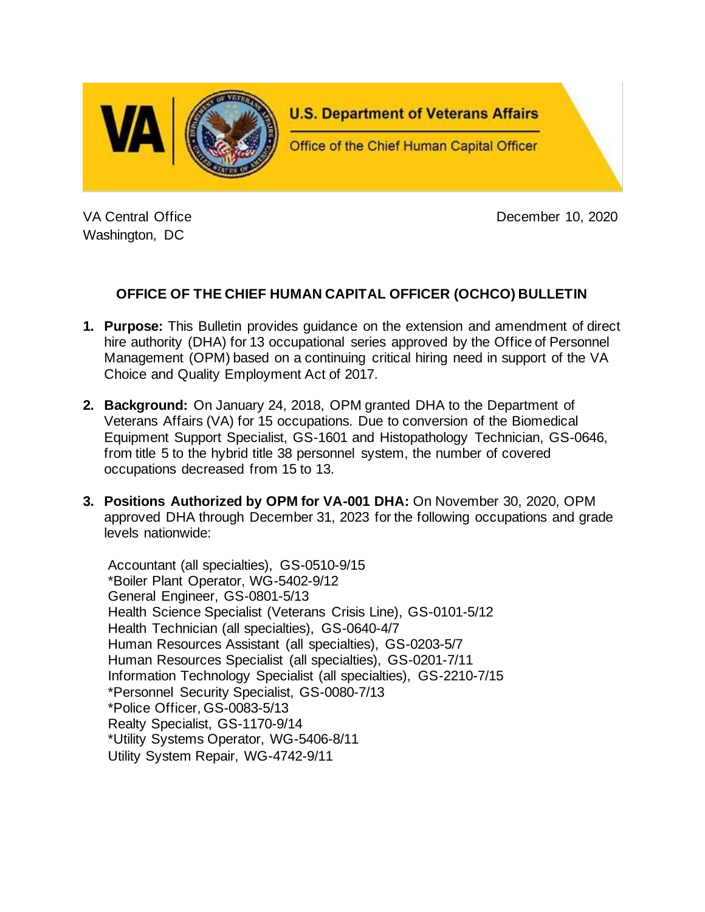

Washington, DC

VA Central Office **December 10, 2020** 

# **OFFICE OF THE CHIEF HUMAN CAPITAL OFFICER (OCHCO) BULLETIN**

- **1. Purpose:** This Bulletin provides guidance on the extension and amendment of direct hire authority (DHA) for 13 occupational series approved by the Office of Personnel Management (OPM) based on a continuing critical hiring need in support of the VA Choice and Quality Employment Act of 2017.
- **2. Background:** On January 24, 2018, OPM granted DHA to the Department of Veterans Affairs (VA) for 15 occupations. Due to conversion of the Biomedical Equipment Support Specialist, GS-1601 and Histopathology Technician, GS-0646, from title 5 to the hybrid title 38 personnel system, the number of covered occupations decreased from 15 to 13.
- **3. Positions Authorized by OPM for VA-001 DHA:** On November 30, 2020, OPM approved DHA through December 31, 2023 for the following occupations and grade levels nationwide:

Accountant (all specialties), GS-0510-9/15 \*Boiler Plant Operator, WG-5402-9/12 General Engineer, GS-0801-5/13 Health Science Specialist (Veterans Crisis Line), GS-0101-5/12 Health Technician (all specialties), GS-0640-4/7 Human Resources Assistant (all specialties), GS-0203-5/7 Human Resources Specialist (all specialties), GS-0201-7/11 Information Technology Specialist (all specialties), GS-2210-7/15 \*Personnel Security Specialist, GS-0080-7/13 \*Police Officer, GS-0083-5/13 Realty Specialist, GS-1170-9/14 \*Utility Systems Operator, WG-5406-8/11 Utility System Repair, WG-4742-9/11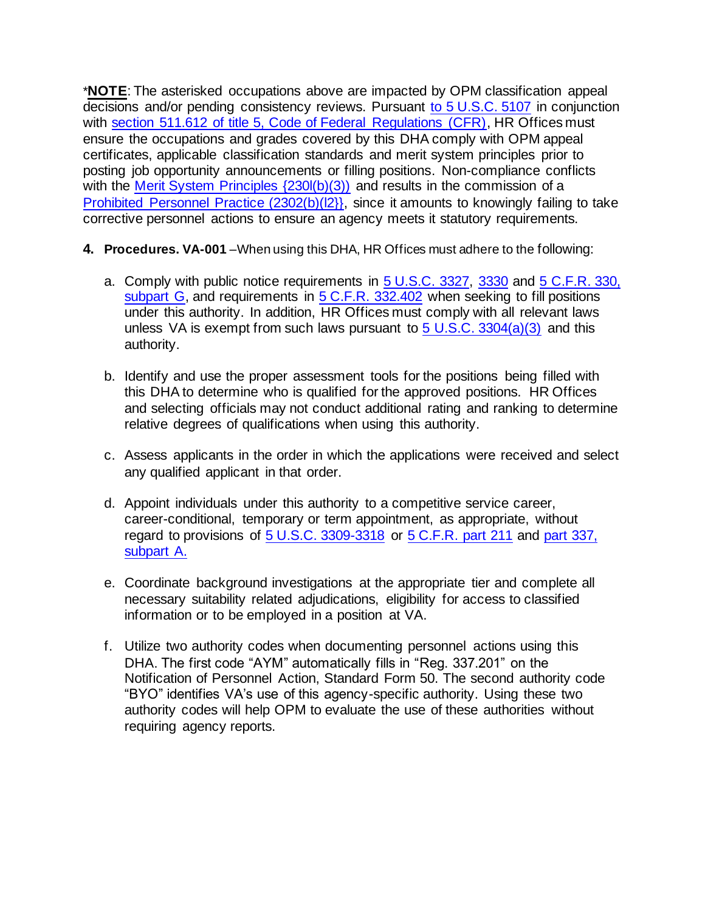\***NOTE**: The asterisked occupations above are impacted by OPM classification appeal decisions and/or pending consistency reviews. Pursuant [to 5 U.S.C. 5107](https://www.law.cornell.edu/uscode/text/5/5107) in conjunction with [section 511.612 of title 5, Code of Federal Regulations \(CFR\),](https://www.law.cornell.edu/cfr/text/5/511.612) HR Offices must ensure the occupations and grades covered by this DHA comply with OPM appeal certificates, applicable classification standards and merit system principles prior to posting job opportunity announcements or filling positions. Non-compliance conflicts with the Merit System Principles  $(230I(b)(3))$  and results in the commission of a [Prohibited Personnel Practice \(2302\(b\)\(l2}},](https://www.law.cornell.edu/uscode/text/5/2302) since it amounts to knowingly failing to take corrective personnel actions to ensure an agency meets it statutory requirements.

- **4. Procedures. VA-001** –When using this DHA, HR Offices must adhere to the following:
	- a. Comply with public notice requirements in [5 U.S.C. 3327,](https://www.law.cornell.edu/uscode/text/5/3327) [3330](https://www.law.cornell.edu/uscode/text/5/3330) and [5 C.F.R.](https://www.law.cornell.edu/cfr/text/5/part-330/subpart-G) 330, [subpart G,](https://www.law.cornell.edu/cfr/text/5/part-330/subpart-G) and requirements in [5 C.F.R.](https://www.law.cornell.edu/cfr/text/5/332.402) 332.402 when seeking to fill positions under this authority. In addition, HR Offices must comply with all relevant laws unless VA is exempt from such laws pursuant to  $5 \text{ U.S.C. } 3304(a)(3)$  and this authority.
	- b. Identify and use the proper assessment tools for the positions being filled with this DHA to determine who is qualified for the approved positions. HR Offices and selecting officials may not conduct additional rating and ranking to determine relative degrees of qualifications when using this authority.
	- c. Assess applicants in the order in which the applications were received and select any qualified applicant in that order.
	- d. Appoint individuals under this authority to a competitive service career, career-conditional, temporary or term appointment, as appropriate, without regard to provisions of [5 U.S.C. 3309-3318](https://www.law.cornell.edu/uscode/text/5/part-III/subpart-B/chapter-33/subchapter-I) or [5 C.F.R.](https://www.law.cornell.edu/cfr/text/5/part-211) part 211 and [part 337,](https://www.law.cornell.edu/cfr/text/5/part-337/subpart-A)  [subpart A.](https://www.law.cornell.edu/cfr/text/5/part-337/subpart-A)
	- e. Coordinate background investigations at the appropriate tier and complete all necessary suitability related adjudications, eligibility for access to classified information or to be employed in a position at VA.
	- f. Utilize two authority codes when documenting personnel actions using this DHA. The first code "AYM" automatically fills in "Reg. 337.201" on the Notification of Personnel Action, Standard Form 50. The second authority code "BYO" identifies VA's use of this agency-specific authority. Using these two authority codes will help OPM to evaluate the use of these authorities without requiring agency reports.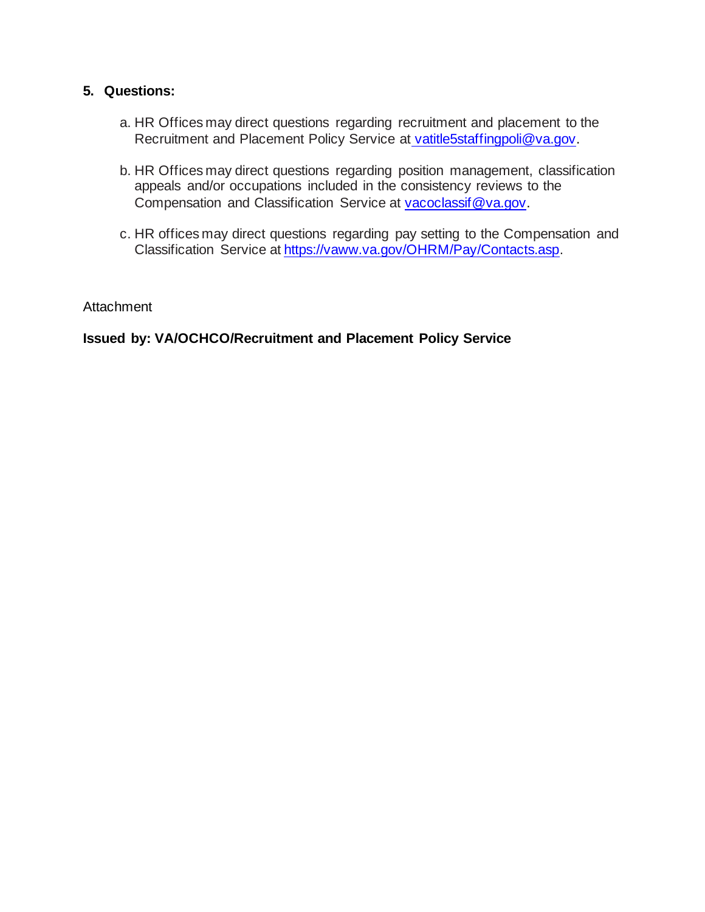## **5. Questions:**

- a. HR Offices may direct questions regarding recruitment and placement to the Recruitment and Placement Policy Service at [vatitle5staffingpoli@va.gov.](mailto:%20vatitle5staffingpoli@va.gov.)
- b. HR Offices may direct questions regarding position management, classification appeals and/or occupations included in the consistency reviews to the Compensation and Classification Service at [vacoclassif@va.gov.](mailto:vacoclassif@va.gov.)
- c. HR offices may direct questions regarding pay setting to the Compensation and Classification Service at [https://vaww.va.gov/OHRM/Pay/Contacts.asp.](https://vaww.va.gov/OHRM/Pay/Contacts.asp)

**Attachment** 

**Issued by: VA/OCHCO/Recruitment and Placement Policy Service**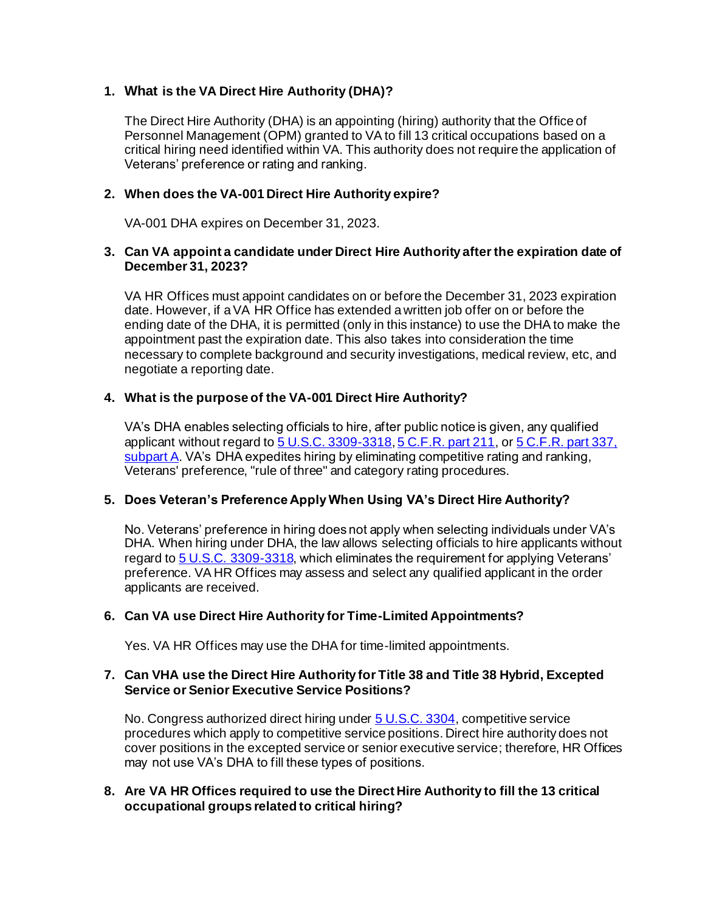### **1. What is the VA Direct Hire Authority (DHA)?**

The Direct Hire Authority (DHA) is an appointing (hiring) authority that the Office of Personnel Management (OPM) granted to VA to fill 13 critical occupations based on a critical hiring need identified within VA. This authority does not require the application of Veterans' preference or rating and ranking.

### **2. When does the VA-001 Direct Hire Authority expire?**

VA-001 DHA expires on December 31, 2023.

### **3. Can VA appoint a candidate under Direct Hire Authority after the expiration date of December 31, 2023?**

VA HR Offices must appoint candidates on or before the December 31, 2023 expiration date. However, if a VA HR Office has extended a written job offer on or before the ending date of the DHA, it is permitted (only in this instance) to use the DHA to make the appointment past the expiration date. This also takes into consideration the time necessary to complete background and security investigations, medical review, etc, and negotiate a reporting date.

### **4. What is the purpose of the VA-001 Direct Hire Authority?**

VA's DHA enables selecting officials to hire, after public notice is given, any qualified applicant without regard t[o 5 U.S.C. 3309-3318](https://www.law.cornell.edu/uscode/text/5/part-III/subpart-B/chapter-33/subchapter-I)[, 5 C.F.R. part 211](https://www.law.cornell.edu/cfr/text/5/part-211), o[r 5 C.F.R. part 337,](https://www.law.cornell.edu/cfr/text/5/part-337/subpart-A)  [subpart A.](https://www.law.cornell.edu/cfr/text/5/part-337/subpart-A) VA's DHA expedites hiring by eliminating competitive rating and ranking, Veterans' preference, "rule of three" and category rating procedures.

### **5. Does Veteran's Preference Apply When Using VA's Direct Hire Authority?**

No. Veterans' preference in hiring does not apply when selecting individuals under VA's DHA. When hiring under DHA, the law allows selecting officials to hire applicants without regard to [5 U.S.C. 3309-3318,](https://www.law.cornell.edu/uscode/text/5/part-III/subpart-B/chapter-33/subchapter-I) which eliminates the requirement for applying Veterans' preference. VA HR Offices may assess and select any qualified applicant in the order applicants are received.

### **6. Can VA use Direct Hire Authority for Time-Limited Appointments?**

Yes. VA HR Offices may use the DHA for time-limited appointments.

### **7. Can VHA use the Direct Hire Authority for Title 38 and Title 38 Hybrid, Excepted Service or Senior Executive Service Positions?**

No. Congress authorized direct hiring under **5 U.S.C. 3304**, competitive service procedures which apply to competitive service positions. Direct hire authority does not cover positions in the excepted service or senior executive service; therefore, HR Offices may not use VA's DHA to fill these types of positions.

### **8. Are VA HR Offices required to use the Direct Hire Authority to fill the 13 critical occupational groups related to critical hiring?**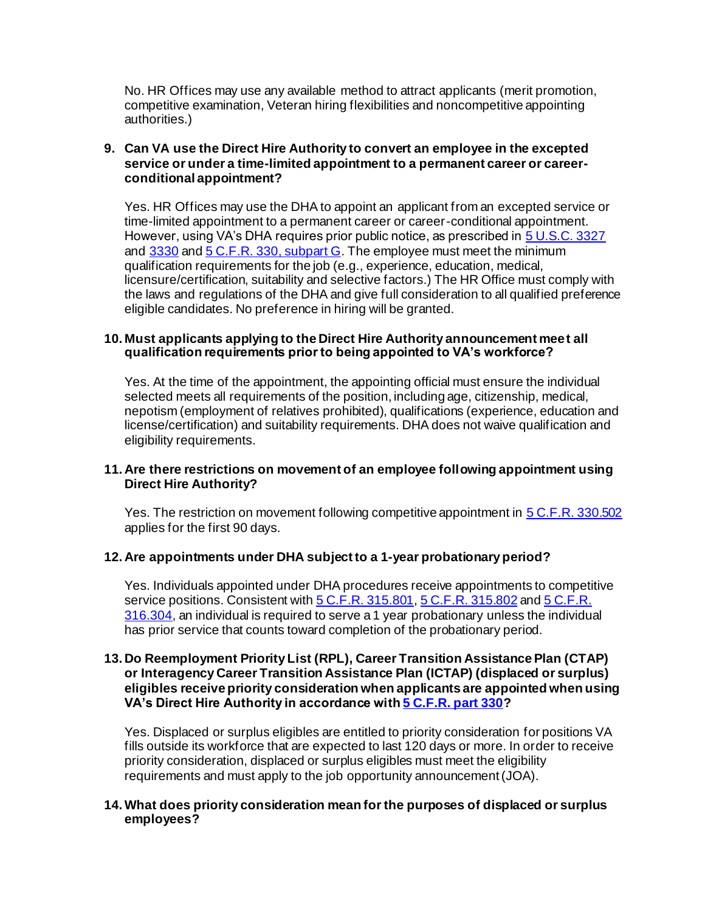No. HR Offices may use any available method to attract applicants (merit promotion, competitive examination, Veteran hiring flexibilities and noncompetitive appointing authorities.)

### **9. Can VA use the Direct Hire Authority to convert an employee in the excepted service or under a time-limited appointment to a permanent career or careerconditional appointment?**

Yes. HR Offices may use the DHA to appoint an applicant from an excepted service or time-limited appointment to a permanent career or career-conditional appointment. However, using VA's DHA requires prior public notice, as prescribed i[n 5 U.S.C. 3327](https://www.law.cornell.edu/uscode/text/5/3327) and [3330](https://www.law.cornell.edu/uscode/text/5/3330) an[d 5 C.F.R. 330, subpart G.](https://www.law.cornell.edu/cfr/text/5/part-330/subpart-G) The employee must meet the minimum qualification requirements for the job (e.g., experience, education, medical, licensure/certification, suitability and selective factors.) The HR Office must comply with the laws and regulations of the DHA and give full consideration to all qualified preference eligible candidates. No preference in hiring will be granted.

### **10. Must applicants applying to the Direct Hire Authority announcement meet all qualification requirements prior to being appointed to VA's workforce?**

Yes. At the time of the appointment, the appointing official must ensure the individual selected meets all requirements of the position, including age, citizenship, medical, nepotism (employment of relatives prohibited), qualifications (experience, education and license/certification) and suitability requirements. DHA does not waive qualification and eligibility requirements.

### **11. Are there restrictions on movement of an employee following appointment using Direct Hire Authority?**

Yes. The restriction on movement following competitive appointment i[n 5 C.F.R. 330.502](https://www.law.cornell.edu/cfr/text/5/330.502) applies for the first 90 days.

### **12. Are appointments under DHA subject to a 1-year probationary period?**

Yes. Individuals appointed under DHA procedures receive appointments to competitive service positions. Consistent wit[h 5 C.F.R. 315.801](https://www.govregs.com/regulations/expand/title5_chapterI_part315_subpartH_section315.801)[, 5 C.F.R. 315.802](https://www.govregs.com/regulations/expand/title5_chapterI_part315_subpartH_section315.801#title5_chapterI_part315_subpartH_section315.802) an[d 5 C.F.R.](https://ecfr.io/Title-5/Section-316.304)  [316.304,](https://ecfr.io/Title-5/Section-316.304) an individual is required to serve a 1 year probationary unless the individual has prior service that counts toward completion of the probationary period.

#### **13. Do Reemployment Priority List (RPL), Career Transition Assistance Plan (CTAP) or Interagency Career Transition Assistance Plan (ICTAP) (displaced or surplus) eligibles receive priority consideration when applicants are appointed when using VA's Direct Hire Authority in accordance wit[h 5 C.F.R. part 330](https://www.law.cornell.edu/cfr/text/5/part-330)?**

Yes. Displaced or surplus eligibles are entitled to priority consideration for positions VA fills outside its workforce that are expected to last 120 days or more. In order to receive priority consideration, displaced or surplus eligibles must meet the eligibility requirements and must apply to the job opportunity announcement (JOA).

### **14.What does priority consideration mean for the purposes of displaced or surplus employees?**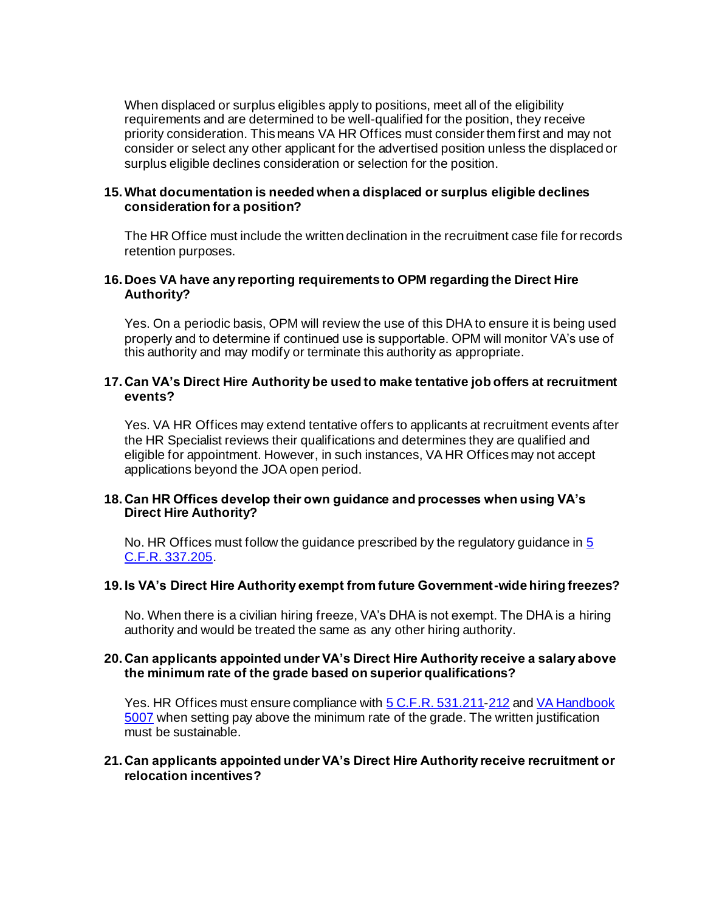When displaced or surplus eligibles apply to positions, meet all of the eligibility requirements and are determined to be well-qualified for the position, they receive priority consideration. This means VA HR Offices must consider them first and may not consider or select any other applicant for the advertised position unless the displaced or surplus eligible declines consideration or selection for the position.

#### **15.What documentation is needed when a displaced or surplus eligible declines consideration for a position?**

The HR Office must include the written declination in the recruitment case file for records retention purposes.

#### **16. Does VA have any reporting requirements to OPM regarding the Direct Hire Authority?**

Yes. On a periodic basis, OPM will review the use of this DHA to ensure it is being used properly and to determine if continued use is supportable. OPM will monitor VA's use of this authority and may modify or terminate this authority as appropriate.

#### **17. Can VA's Direct Hire Authority be used to make tentative job offers at recruitment events?**

Yes. VA HR Offices may extend tentative offers to applicants at recruitment events after the HR Specialist reviews their qualifications and determines they are qualified and eligible for appointment. However, in such instances, VA HR Offices may not accept applications beyond the JOA open period.

#### **18. Can HR Offices develop their own guidance and processes when using VA's Direct Hire Authority?**

No. HR Offices must follow the guidance prescribed by the regulatory guidance i[n 5](https://www.law.cornell.edu/cfr/text/5/337.205)  [C.F.R. 337.205](https://www.law.cornell.edu/cfr/text/5/337.205).

#### **19. Is VA's Direct Hire Authority exempt from future Government-wide hiring freezes?**

No. When there is a civilian hiring freeze, VA's DHA is not exempt. The DHA is a hiring authority and would be treated the same as any other hiring authority.

#### **20. Can applicants appointed under VA's Direct Hire Authority receive a salary above the minimum rate of the grade based on superior qualifications?**

Yes. HR Offices must ensure compliance wit[h 5 C.F.R. 531.211](https://www.law.cornell.edu/cfr/text/5/531.211)[-212](https://www.law.cornell.edu/cfr/text/5/531.212) and VA Handbook [5007](https://www.va.gov/vapubs/viewPublication.asp?Pub_ID=1012&FType=2) when setting pay above the minimum rate of the grade. The written justification must be sustainable.

#### **21. Can applicants appointed under VA's Direct Hire Authority receive recruitment or relocation incentives?**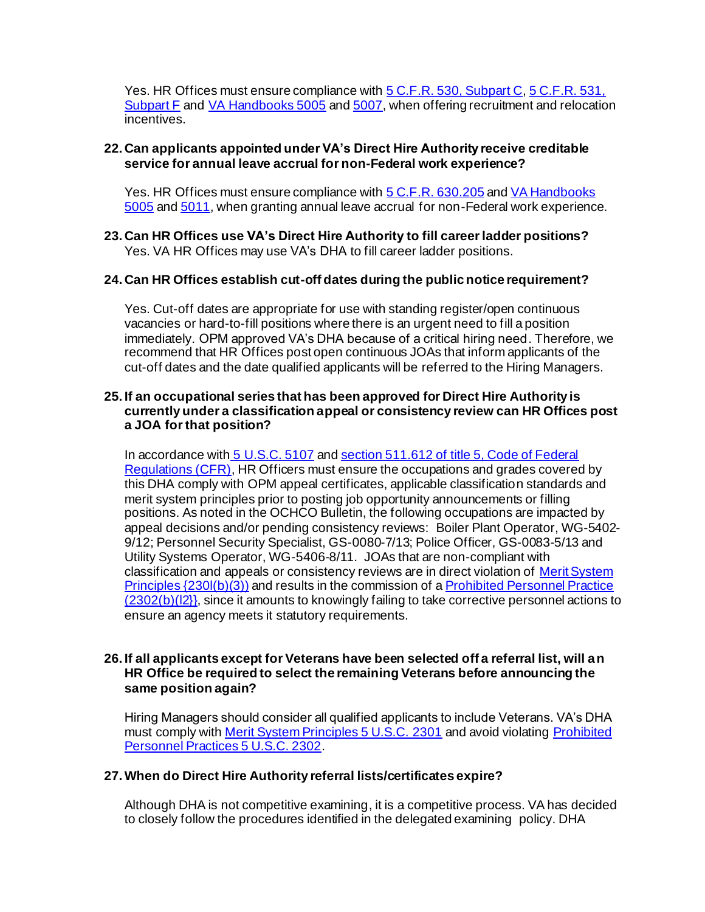Yes. HR Offices must ensure compliance wit[h 5 C.F.R. 530, Subpart C](https://www.law.cornell.edu/cfr/text/5/part-530/subpart-C)[, 5 C.F.R. 531,](https://www.law.cornell.edu/cfr/text/5/part-531/subpart-F)  [Subpart F](https://www.law.cornell.edu/cfr/text/5/part-531/subpart-F) and [VA Handbooks 5005](https://www.va.gov/vapubs/viewPublication.asp?Pub_ID=1006&FType=2) an[d 5007,](https://www.va.gov/vapubs/viewPublication.asp?Pub_ID=1012&FType=2) when offering recruitment and relocation incentives.

### **22. Can applicants appointed under VA's Direct Hire Authority receive creditable service for annual leave accrual for non-Federal work experience?**

Yes. HR Offices must ensure compliance wit[h 5 C.F.R. 630.205](https://www.law.cornell.edu/cfr/text/5/630.205) an[d VA Handbooks](https://www.va.gov/vapubs/viewPublication.asp?Pub_ID=1006&FType=2)  [5005](https://www.va.gov/vapubs/viewPublication.asp?Pub_ID=1006&FType=2) and [5011,](https://www.va.gov/vapubs/viewPublication.asp?Pub_ID=1102&FType=2) when granting annual leave accrual for non-Federal work experience.

### **23. Can HR Offices use VA's Direct Hire Authority to fill career ladder positions?** Yes. VA HR Offices may use VA's DHA to fill career ladder positions.

### **24. Can HR Offices establish cut-off dates during the public notice requirement?**

Yes. Cut-off dates are appropriate for use with standing register/open continuous vacancies or hard-to-fill positions where there is an urgent need to fill a position immediately. OPM approved VA's DHA because of a critical hiring need. Therefore, we recommend that HR Offices post open continuous JOAs that inform applicants of the cut-off dates and the date qualified applicants will be referred to the Hiring Managers.

#### **25. If an occupational series that has been approved for Direct Hire Authority is currently under a classification appeal or consistency review can HR Offices post a JOA for that position?**

In accordance with [5 U.S.C. 5107](https://www.law.cornell.edu/uscode/text/5/5107) and section 511.612 of title 5, Code of Federal [Regulations \(CFR\)](https://www.law.cornell.edu/cfr/text/5/511.612), HR Officers must ensure the occupations and grades covered by this DHA comply with OPM appeal certificates, applicable classification standards and merit system principles prior to posting job opportunity announcements or filling positions. As noted in the OCHCO Bulletin, the following occupations are impacted by appeal decisions and/or pending consistency reviews: Boiler Plant Operator, WG-5402- 9/12; Personnel Security Specialist, GS-0080-7/13; Police Officer, GS-0083-5/13 and Utility Systems Operator, WG-5406-8/11. JOAs that are non-compliant with classification and appeals or consistency reviews are in direct violation o[f Merit System](https://www.law.cornell.edu/uscode/text/5/2301)  [Principles {230l\(b\)\(3\)\)](https://www.law.cornell.edu/uscode/text/5/2301) and results in the commission of [a Prohibited Personnel Practice](https://www.law.cornell.edu/uscode/text/5/2302)   $(2302(b)(2)$ , since it amounts to knowingly failing to take corrective personnel actions to ensure an agency meets it statutory requirements.

#### **26. If all applicants except for Veterans have been selected off a referral list, will an HR Office be required to select the remaining Veterans before announcing the same position again?**

Hiring Managers should consider all qualified applicants to include Veterans. VA's DHA must comply with [Merit System Principles 5 U.S.C. 2301](https://www.law.cornell.edu/uscode/text/5/2301) and avoid violatin[g Prohibited](https://www.law.cornell.edu/uscode/text/5/2302)  [Personnel Practices 5 U.S.C. 2302.](https://www.law.cornell.edu/uscode/text/5/2302)

### **27.When do Direct Hire Authority referral lists/certificates expire?**

Although DHA is not competitive examining, it is a competitive process. VA has decided to closely follow the procedures identified in the delegated examining policy. DHA